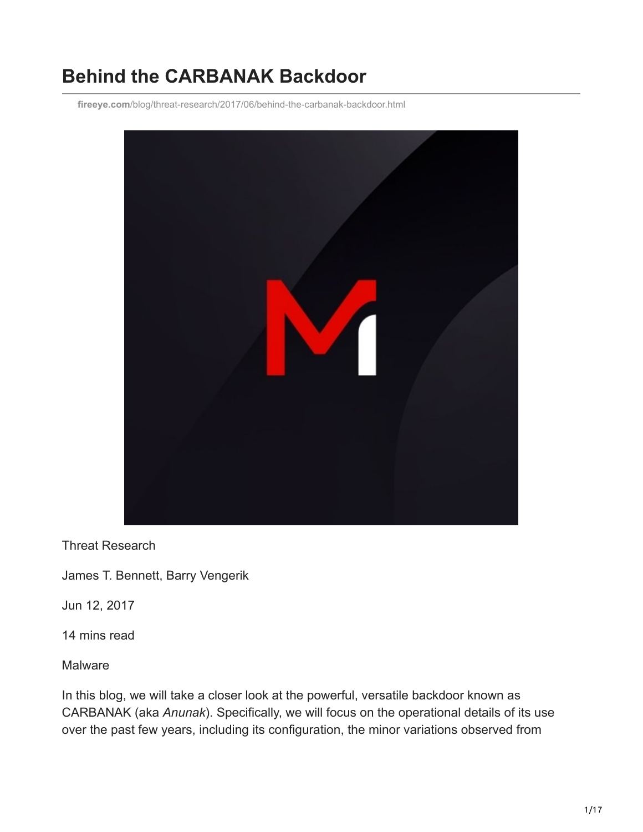# **Behind the CARBANAK Backdoor**

**fireeye.com**[/blog/threat-research/2017/06/behind-the-carbanak-backdoor.html](https://www.fireeye.com/blog/threat-research/2017/06/behind-the-carbanak-backdoor.html)



Threat Research

James T. Bennett, Barry Vengerik

Jun 12, 2017

14 mins read

**Malware** 

In this blog, we will take a closer look at the powerful, versatile backdoor known as CARBANAK (aka *Anunak*). Specifically, we will focus on the operational details of its use over the past few years, including its configuration, the minor variations observed from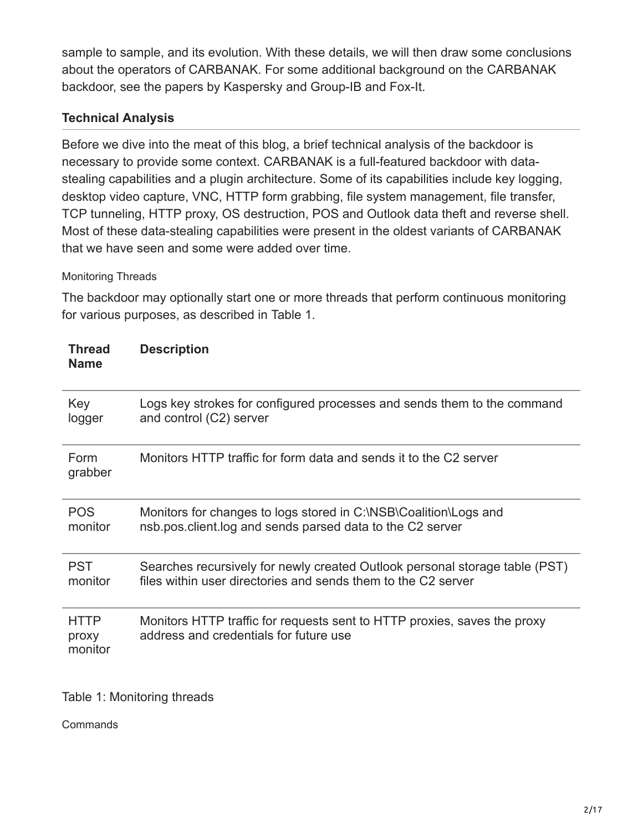sample to sample, and its evolution. With these details, we will then draw some conclusions about the operators of CARBANAK. For some additional background on the CARBANAK backdoor, see the papers by Kaspersky and Group-IB and Fox-It.

## **Technical Analysis**

Before we dive into the meat of this blog, a brief technical analysis of the backdoor is necessary to provide some context. CARBANAK is a full-featured backdoor with datastealing capabilities and a plugin architecture. Some of its capabilities include key logging, desktop video capture, VNC, HTTP form grabbing, file system management, file transfer, TCP tunneling, HTTP proxy, OS destruction, POS and Outlook data theft and reverse shell. Most of these data-stealing capabilities were present in the oldest variants of CARBANAK that we have seen and some were added over time.

Monitoring Threads

The backdoor may optionally start one or more threads that perform continuous monitoring for various purposes, as described in Table 1.

| <b>Thread</b><br><b>Name</b>    | <b>Description</b>                                                                                                 |
|---------------------------------|--------------------------------------------------------------------------------------------------------------------|
| Key                             | Logs key strokes for configured processes and sends them to the command                                            |
| logger                          | and control (C2) server                                                                                            |
| Form<br>grabber                 | Monitors HTTP traffic for form data and sends it to the C2 server                                                  |
| <b>POS</b>                      | Monitors for changes to logs stored in C:\NSB\Coalition\Logs and                                                   |
| monitor                         | nsb.pos.client.log and sends parsed data to the C2 server                                                          |
| <b>PST</b>                      | Searches recursively for newly created Outlook personal storage table (PST)                                        |
| monitor                         | files within user directories and sends them to the C2 server                                                      |
| <b>HTTP</b><br>proxy<br>monitor | Monitors HTTP traffic for requests sent to HTTP proxies, saves the proxy<br>address and credentials for future use |

Table 1: Monitoring threads

**Commands**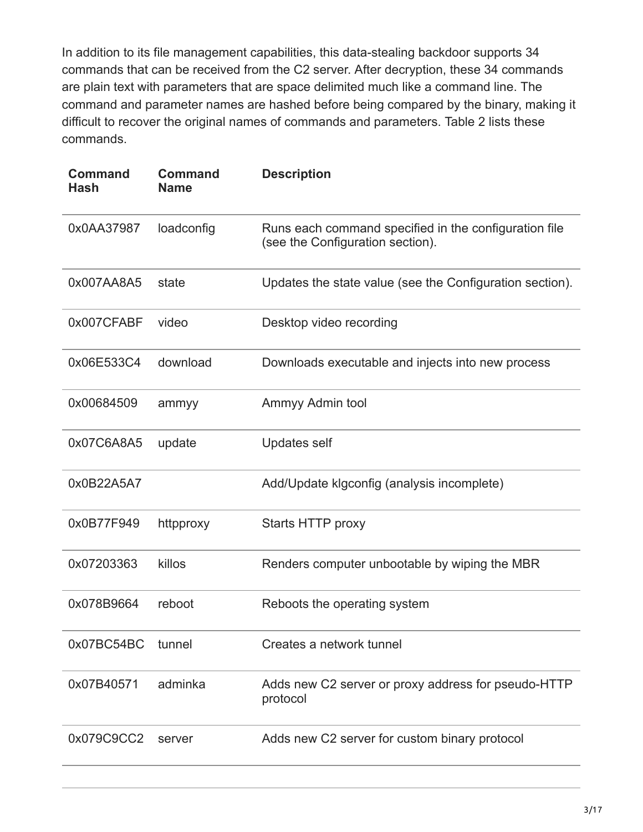In addition to its file management capabilities, this data-stealing backdoor supports 34 commands that can be received from the C2 server. After decryption, these 34 commands are plain text with parameters that are space delimited much like a command line. The command and parameter names are hashed before being compared by the binary, making it difficult to recover the original names of commands and parameters. Table 2 lists these commands.

| <b>Command</b><br><b>Hash</b> | <b>Command</b><br><b>Name</b> | <b>Description</b>                                                                        |
|-------------------------------|-------------------------------|-------------------------------------------------------------------------------------------|
| 0x0AA37987                    | loadconfig                    | Runs each command specified in the configuration file<br>(see the Configuration section). |
| 0x007AA8A5                    | state                         | Updates the state value (see the Configuration section).                                  |
| 0x007CFABF                    | video                         | Desktop video recording                                                                   |
| 0x06E533C4                    | download                      | Downloads executable and injects into new process                                         |
| 0x00684509                    | ammyy                         | Ammyy Admin tool                                                                          |
| 0x07C6A8A5                    | update                        | <b>Updates self</b>                                                                       |
| 0x0B22A5A7                    |                               | Add/Update klgconfig (analysis incomplete)                                                |
| 0x0B77F949                    | httpproxy                     | Starts HTTP proxy                                                                         |
| 0x07203363                    | killos                        | Renders computer unbootable by wiping the MBR                                             |
| 0x078B9664                    | reboot                        | Reboots the operating system                                                              |
| 0x07BC54BC                    | tunnel                        | Creates a network tunnel                                                                  |
| 0x07B40571                    | adminka                       | Adds new C2 server or proxy address for pseudo-HTTP<br>protocol                           |
| 0x079C9CC2                    | server                        | Adds new C2 server for custom binary protocol                                             |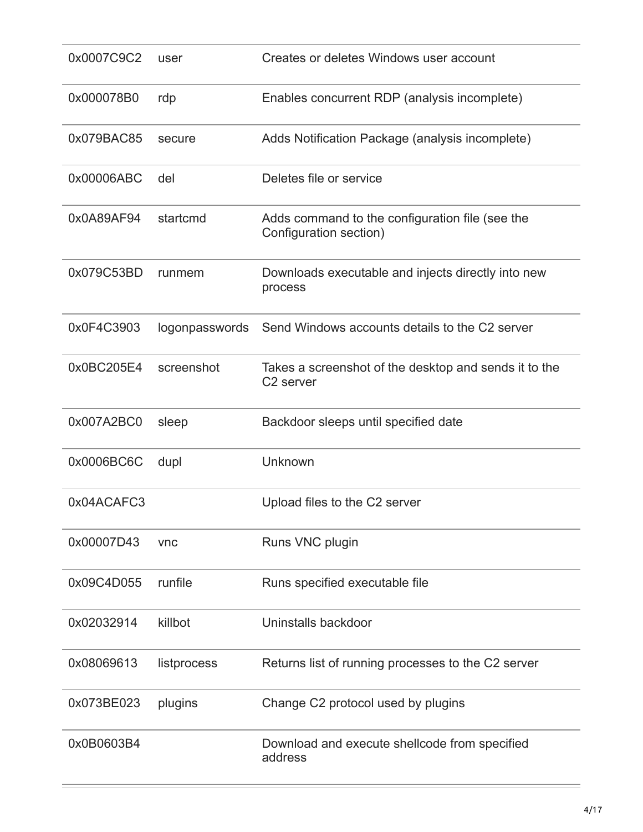| 0x0007C9C2 | user           | Creates or deletes Windows user account                                        |
|------------|----------------|--------------------------------------------------------------------------------|
| 0x000078B0 | rdp            | Enables concurrent RDP (analysis incomplete)                                   |
| 0x079BAC85 | secure         | Adds Notification Package (analysis incomplete)                                |
| 0x00006ABC | del            | Deletes file or service                                                        |
| 0x0A89AF94 | startcmd       | Adds command to the configuration file (see the<br>Configuration section)      |
| 0x079C53BD | runmem         | Downloads executable and injects directly into new<br>process                  |
| 0x0F4C3903 | logonpasswords | Send Windows accounts details to the C2 server                                 |
| 0x0BC205E4 | screenshot     | Takes a screenshot of the desktop and sends it to the<br>C <sub>2</sub> server |
| 0x007A2BC0 | sleep          | Backdoor sleeps until specified date                                           |
| 0x0006BC6C | dupl           | Unknown                                                                        |
| 0x04ACAFC3 |                | Upload files to the C2 server                                                  |
| 0x00007D43 | vnc            | Runs VNC plugin                                                                |
| 0x09C4D055 | runfile        | Runs specified executable file                                                 |
| 0x02032914 | killbot        | Uninstalls backdoor                                                            |
| 0x08069613 | listprocess    | Returns list of running processes to the C2 server                             |
| 0x073BE023 | plugins        | Change C2 protocol used by plugins                                             |
| 0x0B0603B4 |                | Download and execute shellcode from specified<br>address                       |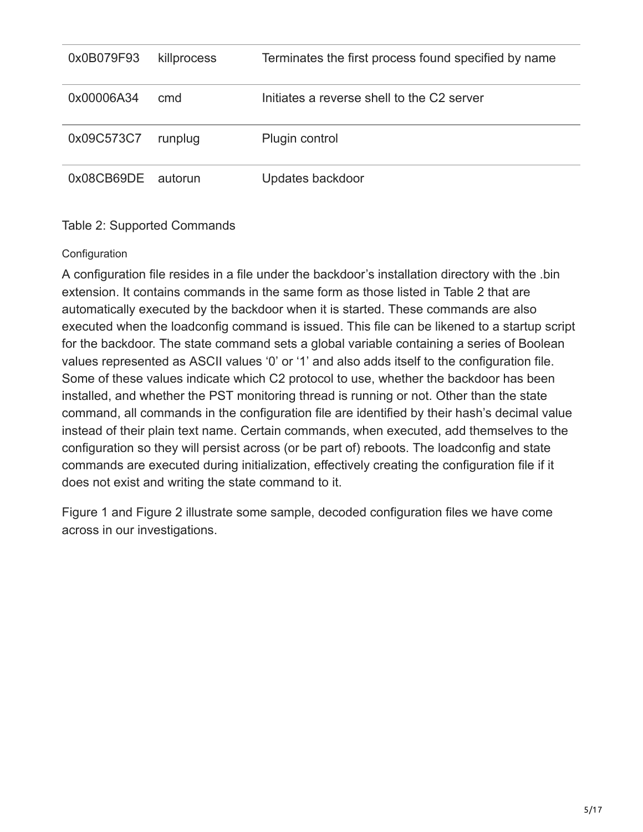| 0x0B079F93 | killprocess | Terminates the first process found specified by name |
|------------|-------------|------------------------------------------------------|
| 0x00006A34 | cmd         | Initiates a reverse shell to the C2 server           |
| 0x09C573C7 | runplug     | Plugin control                                       |
| 0x08CB69DE | autorun     | Updates backdoor                                     |

#### Table 2: Supported Commands

#### **Configuration**

A configuration file resides in a file under the backdoor's installation directory with the .bin extension. It contains commands in the same form as those listed in Table 2 that are automatically executed by the backdoor when it is started. These commands are also executed when the loadconfig command is issued. This file can be likened to a startup script for the backdoor. The state command sets a global variable containing a series of Boolean values represented as ASCII values '0' or '1' and also adds itself to the configuration file. Some of these values indicate which C2 protocol to use, whether the backdoor has been installed, and whether the PST monitoring thread is running or not. Other than the state command, all commands in the configuration file are identified by their hash's decimal value instead of their plain text name. Certain commands, when executed, add themselves to the configuration so they will persist across (or be part of) reboots. The loadconfig and state commands are executed during initialization, effectively creating the configuration file if it does not exist and writing the state command to it.

Figure 1 and Figure 2 illustrate some sample, decoded configuration files we have come across in our investigations.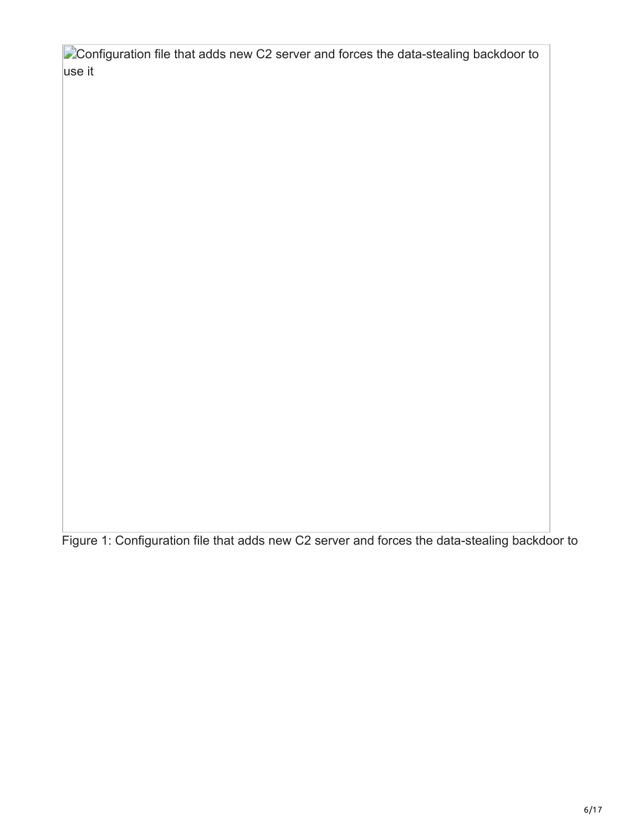Configuration file that adds new C2 server and forces the data-stealing backdoor to use it

Figure 1: Configuration file that adds new C2 server and forces the data-stealing backdoor to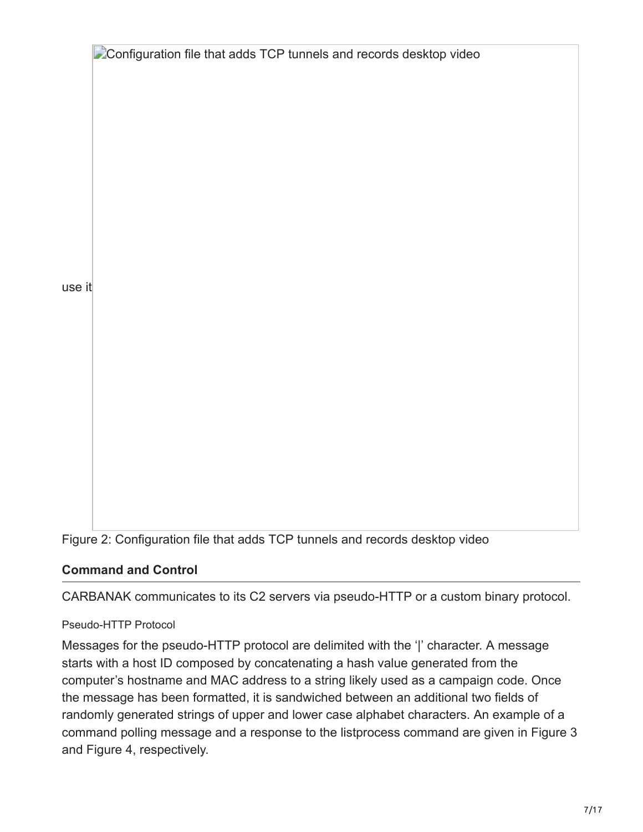

Figure 2: Configuration file that adds TCP tunnels and records desktop video

# **Command and Control**

CARBANAK communicates to its C2 servers via pseudo-HTTP or a custom binary protocol.

## Pseudo-HTTP Protocol

Messages for the pseudo-HTTP protocol are delimited with the '|' character. A message starts with a host ID composed by concatenating a hash value generated from the computer's hostname and MAC address to a string likely used as a campaign code. Once the message has been formatted, it is sandwiched between an additional two fields of randomly generated strings of upper and lower case alphabet characters. An example of a command polling message and a response to the listprocess command are given in Figure 3 and Figure 4, respectively.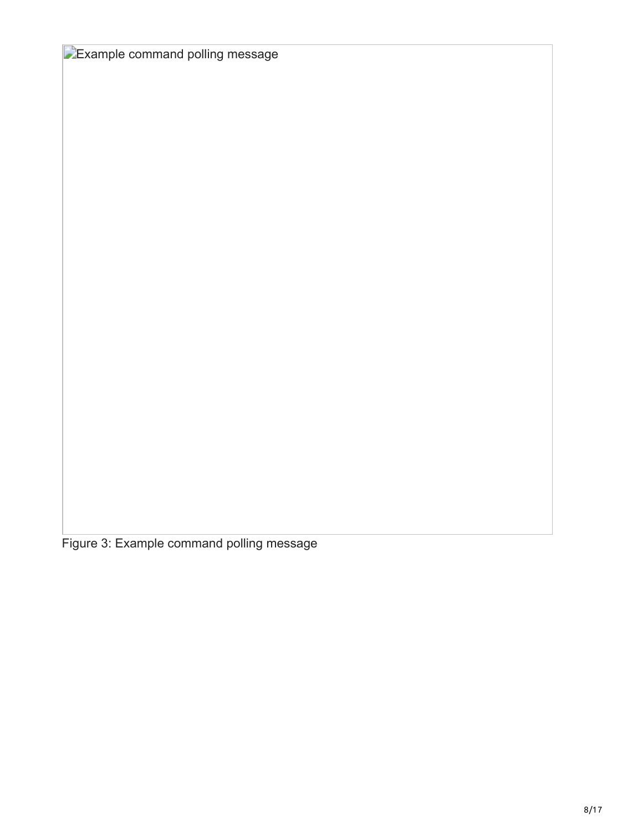Example command polling message

Figure 3: Example command polling message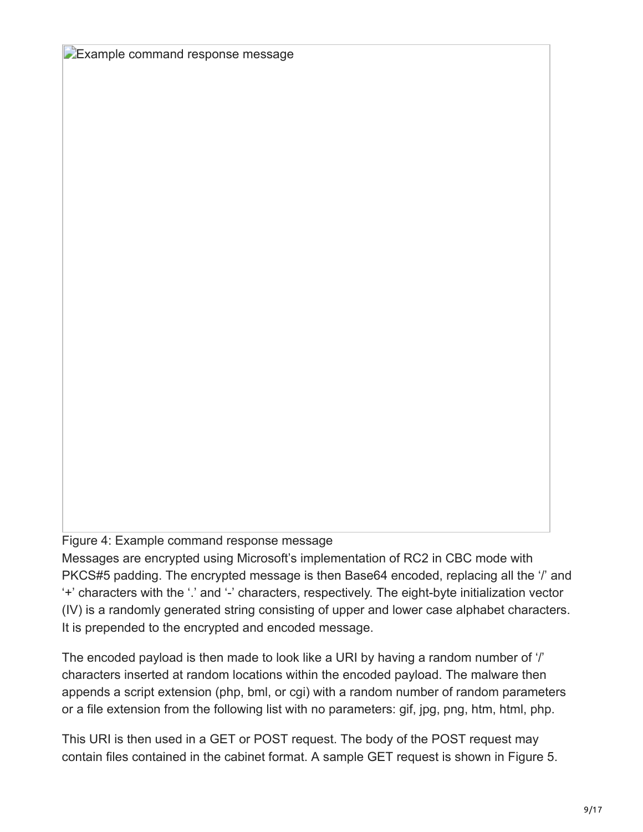**Example command response message** 

Figure 4: Example command response message

Messages are encrypted using Microsoft's implementation of RC2 in CBC mode with PKCS#5 padding. The encrypted message is then Base64 encoded, replacing all the '/' and '+' characters with the '.' and '-' characters, respectively. The eight-byte initialization vector (IV) is a randomly generated string consisting of upper and lower case alphabet characters. It is prepended to the encrypted and encoded message.

The encoded payload is then made to look like a URI by having a random number of '*l'* characters inserted at random locations within the encoded payload. The malware then appends a script extension (php, bml, or cgi) with a random number of random parameters or a file extension from the following list with no parameters: gif, jpg, png, htm, html, php.

This URI is then used in a GET or POST request. The body of the POST request may contain files contained in the cabinet format. A sample GET request is shown in Figure 5.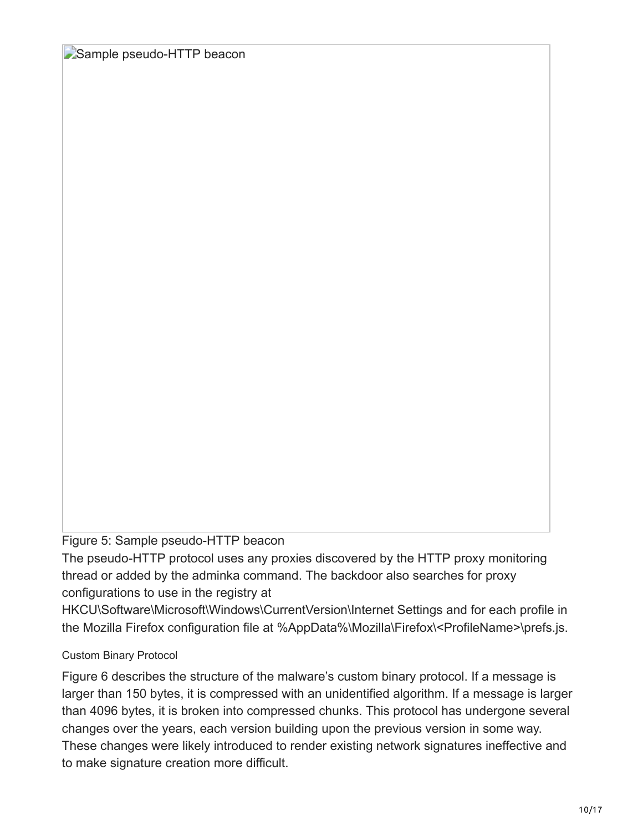Sample pseudo-HTTP beacon

### Figure 5: Sample pseudo-HTTP beacon

The pseudo-HTTP protocol uses any proxies discovered by the HTTP proxy monitoring thread or added by the adminka command. The backdoor also searches for proxy configurations to use in the registry at

HKCU\Software\Microsoft\Windows\CurrentVersion\Internet Settings and for each profile in the Mozilla Firefox configuration file at %AppData%\Mozilla\Firefox\<ProfileName>\prefs.js.

#### Custom Binary Protocol

Figure 6 describes the structure of the malware's custom binary protocol. If a message is larger than 150 bytes, it is compressed with an unidentified algorithm. If a message is larger than 4096 bytes, it is broken into compressed chunks. This protocol has undergone several changes over the years, each version building upon the previous version in some way. These changes were likely introduced to render existing network signatures ineffective and to make signature creation more difficult.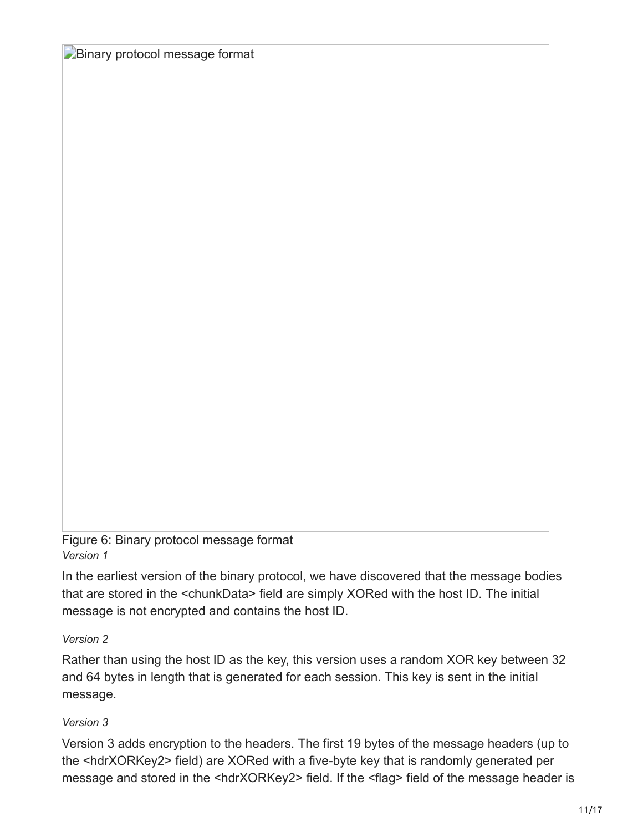**Binary protocol message format** 

Figure 6: Binary protocol message format *Version 1*

In the earliest version of the binary protocol, we have discovered that the message bodies that are stored in the <chunkData> field are simply XORed with the host ID. The initial message is not encrypted and contains the host ID.

*Version 2*

Rather than using the host ID as the key, this version uses a random XOR key between 32 and 64 bytes in length that is generated for each session. This key is sent in the initial message.

### *Version 3*

Version 3 adds encryption to the headers. The first 19 bytes of the message headers (up to the <hdrXORKey2> field) are XORed with a five-byte key that is randomly generated per message and stored in the <hdrXORKey2> field. If the <flag> field of the message header is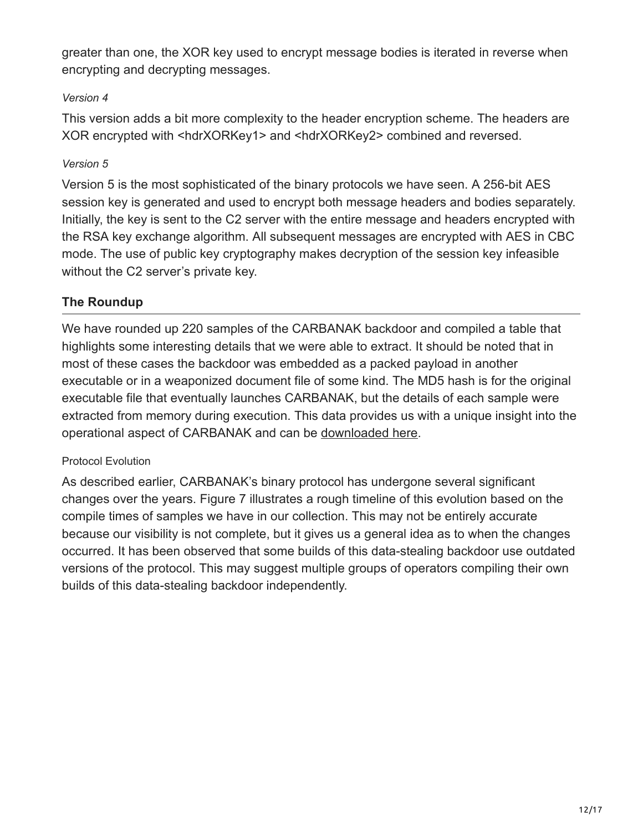greater than one, the XOR key used to encrypt message bodies is iterated in reverse when encrypting and decrypting messages.

### *Version 4*

This version adds a bit more complexity to the header encryption scheme. The headers are XOR encrypted with <hdrXORKey1> and <hdrXORKey2> combined and reversed.

## *Version 5*

Version 5 is the most sophisticated of the binary protocols we have seen. A 256-bit AES session key is generated and used to encrypt both message headers and bodies separately. Initially, the key is sent to the C2 server with the entire message and headers encrypted with the RSA key exchange algorithm. All subsequent messages are encrypted with AES in CBC mode. The use of public key cryptography makes decryption of the session key infeasible without the C2 server's private key.

## **The Roundup**

We have rounded up 220 samples of the CARBANAK backdoor and compiled a table that highlights some interesting details that we were able to extract. It should be noted that in most of these cases the backdoor was embedded as a packed payload in another executable or in a weaponized document file of some kind. The MD5 hash is for the original executable file that eventually launches CARBANAK, but the details of each sample were extracted from memory during execution. This data provides us with a unique insight into the operational aspect of CARBANAK and can be [downloaded here.](https://www.fireeye.com/content/dam/fireeye-www/blog/pdfs/carbanak-report.xlsx)

### Protocol Evolution

As described earlier, CARBANAK's binary protocol has undergone several significant changes over the years. Figure 7 illustrates a rough timeline of this evolution based on the compile times of samples we have in our collection. This may not be entirely accurate because our visibility is not complete, but it gives us a general idea as to when the changes occurred. It has been observed that some builds of this data-stealing backdoor use outdated versions of the protocol. This may suggest multiple groups of operators compiling their own builds of this data-stealing backdoor independently.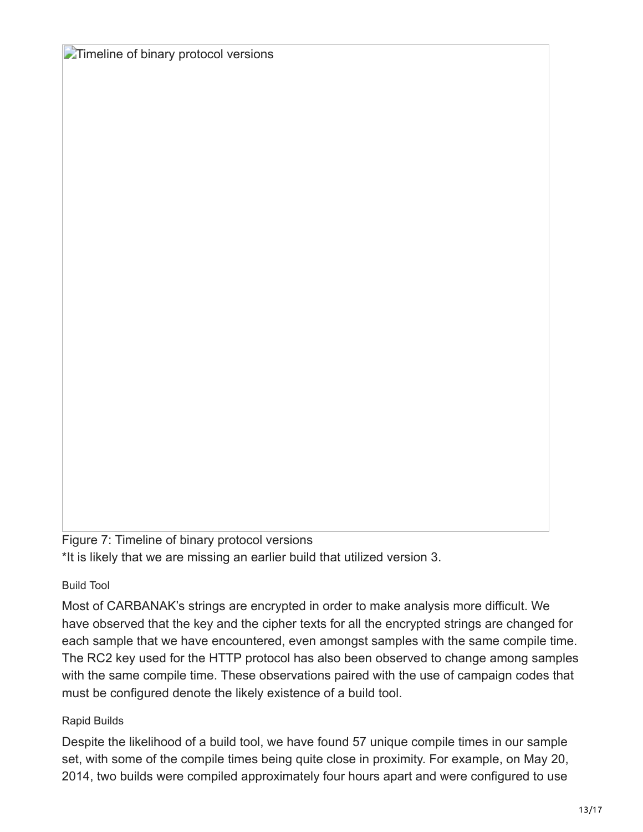**Timeline of binary protocol versions** 

Figure 7: Timeline of binary protocol versions \*It is likely that we are missing an earlier build that utilized version 3.

Build Tool

Most of CARBANAK's strings are encrypted in order to make analysis more difficult. We have observed that the key and the cipher texts for all the encrypted strings are changed for each sample that we have encountered, even amongst samples with the same compile time. The RC2 key used for the HTTP protocol has also been observed to change among samples with the same compile time. These observations paired with the use of campaign codes that must be configured denote the likely existence of a build tool.

#### Rapid Builds

Despite the likelihood of a build tool, we have found 57 unique compile times in our sample set, with some of the compile times being quite close in proximity. For example, on May 20, 2014, two builds were compiled approximately four hours apart and were configured to use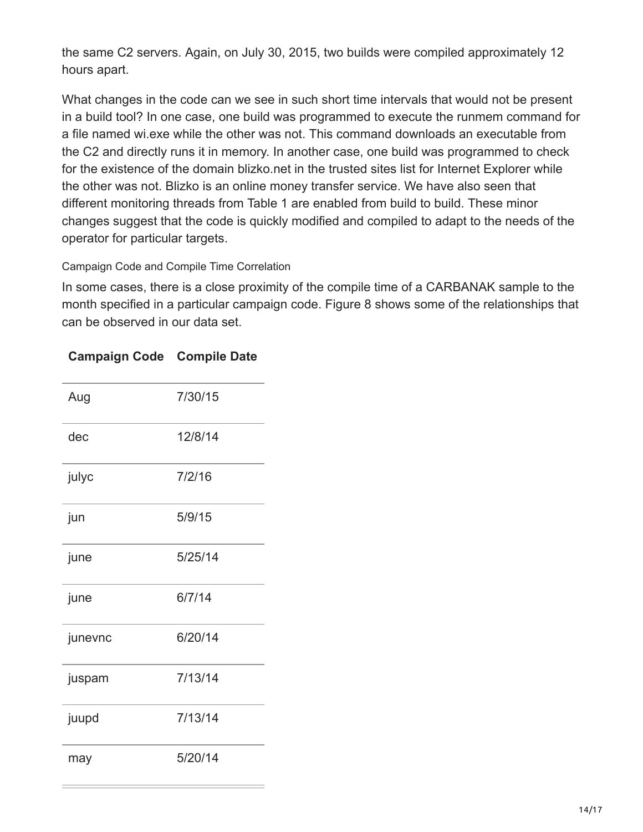the same C2 servers. Again, on July 30, 2015, two builds were compiled approximately 12 hours apart.

What changes in the code can we see in such short time intervals that would not be present in a build tool? In one case, one build was programmed to execute the runmem command for a file named wi.exe while the other was not. This command downloads an executable from the C2 and directly runs it in memory. In another case, one build was programmed to check for the existence of the domain blizko.net in the trusted sites list for Internet Explorer while the other was not. Blizko is an online money transfer service. We have also seen that different monitoring threads from Table 1 are enabled from build to build. These minor changes suggest that the code is quickly modified and compiled to adapt to the needs of the operator for particular targets.

### Campaign Code and Compile Time Correlation

In some cases, there is a close proximity of the compile time of a CARBANAK sample to the month specified in a particular campaign code. Figure 8 shows some of the relationships that can be observed in our data set.

| Aug     | 7/30/15 |
|---------|---------|
| dec     | 12/8/14 |
| julyc   | 7/2/16  |
| jun     | 5/9/15  |
| june    | 5/25/14 |
| june    | 6/7/14  |
| junevnc | 6/20/14 |
| juspam  | 7/13/14 |
| juupd   | 7/13/14 |
| may     | 5/20/14 |

## **Campaign Code Compile Date**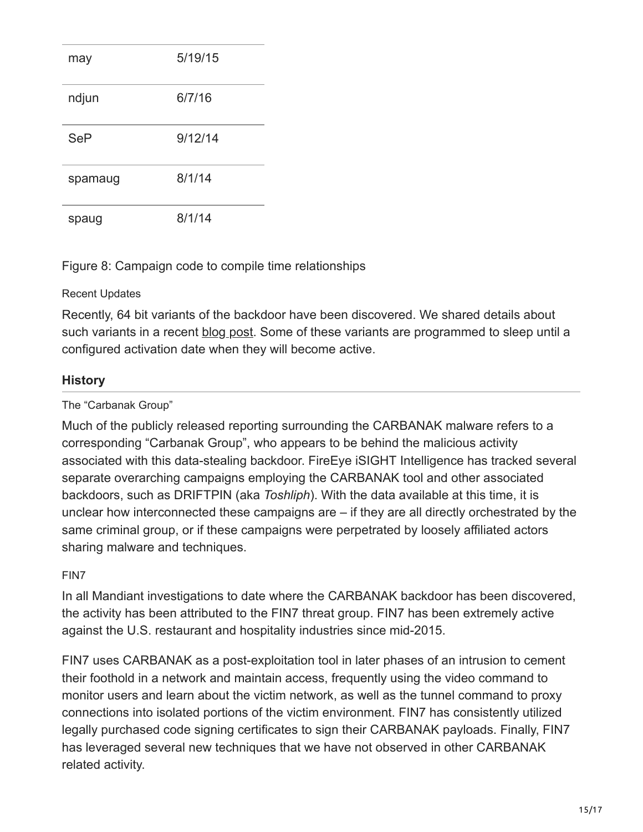| may        | 5/19/15 |
|------------|---------|
| ndjun      | 6/7/16  |
| <b>SeP</b> | 9/12/14 |
| spamaug    | 8/1/14  |
| spaug      | 8/1/14  |

Figure 8: Campaign code to compile time relationships

## Recent Updates

Recently, 64 bit variants of the backdoor have been discovered. We shared details about such variants in a recent [blog post](https://www.fireeye.com/resources/fin7-shim-databases-persistence). Some of these variants are programmed to sleep until a configured activation date when they will become active.

# **History**

## The "Carbanak Group"

Much of the publicly released reporting surrounding the CARBANAK malware refers to a corresponding "Carbanak Group", who appears to be behind the malicious activity associated with this data-stealing backdoor. FireEye iSIGHT Intelligence has tracked several separate overarching campaigns employing the CARBANAK tool and other associated backdoors, such as DRIFTPIN (aka *Toshliph*). With the data available at this time, it is unclear how interconnected these campaigns are – if they are all directly orchestrated by the same criminal group, or if these campaigns were perpetrated by loosely affiliated actors sharing malware and techniques.

## FIN7

In all Mandiant investigations to date where the CARBANAK backdoor has been discovered, the activity has been attributed to the FIN7 threat group. FIN7 has been extremely active against the U.S. restaurant and hospitality industries since mid-2015.

FIN7 uses CARBANAK as a post-exploitation tool in later phases of an intrusion to cement their foothold in a network and maintain access, frequently using the video command to monitor users and learn about the victim network, as well as the tunnel command to proxy connections into isolated portions of the victim environment. FIN7 has consistently utilized legally purchased code signing certificates to sign their CARBANAK payloads. Finally, FIN7 has leveraged several new techniques that we have not observed in other CARBANAK related activity.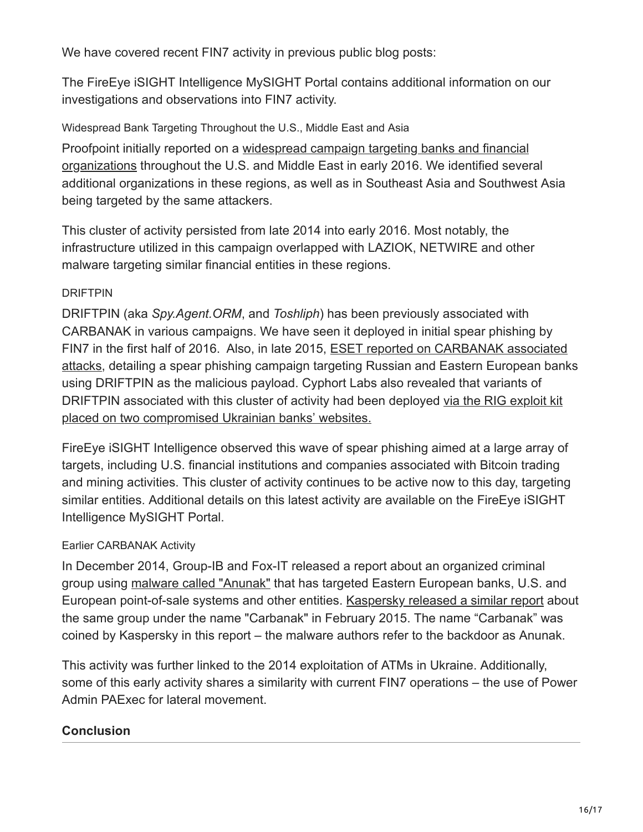We have covered recent FIN7 activity in previous public blog posts:

The FireEye iSIGHT Intelligence MySIGHT Portal contains additional information on our investigations and observations into FIN7 activity.

Widespread Bank Targeting Throughout the U.S., Middle East and Asia

[Proofpoint initially reported on a widespread campaign targeting banks and financial](https://www.proofpoint.com/us/threat-insight/post/carbanak-cybercrime-group-targets-executives-of-financial-organizations-in-middle-east) organizations throughout the U.S. and Middle East in early 2016. We identified several additional organizations in these regions, as well as in Southeast Asia and Southwest Asia being targeted by the same attackers.

This cluster of activity persisted from late 2014 into early 2016. Most notably, the infrastructure utilized in this campaign overlapped with LAZIOK, NETWIRE and other malware targeting similar financial entities in these regions.

## DRIFTPIN

DRIFTPIN (aka *Spy.Agent.ORM*, and *Toshliph*) has been previously associated with CARBANAK in various campaigns. We have seen it deployed in initial spear phishing by FIN7 in the first half of 2016. Also, in late 2015, ESET reported on CARBANAK associated [attacks, detailing a spear phishing campaign targeting Russian and Eastern European bank](https://www.welivesecurity.com/2015/09/08/carbanak-gang-is-back-and-packing-new-guns/)s using DRIFTPIN as the malicious payload. Cyphort Labs also revealed that variants of [DRIFTPIN associated with this cluster of activity had been deployed via the RIG exploit kit](https://www.cyphort.com/unicredit-compromised/) placed on two compromised Ukrainian banks' websites.

FireEye iSIGHT Intelligence observed this wave of spear phishing aimed at a large array of targets, including U.S. financial institutions and companies associated with Bitcoin trading and mining activities. This cluster of activity continues to be active now to this day, targeting similar entities. Additional details on this latest activity are available on the FireEye iSIGHT Intelligence MySIGHT Portal.

## Earlier CARBANAK Activity

In December 2014, Group-IB and Fox-IT released a report about an organized criminal group using [malware called "Anunak"](https://www.fox-it.com/en/files/2014/12/Anunak_APT-against-financial-institutions2.pdf) that has targeted Eastern European banks, U.S. and European point-of-sale systems and other entities. [Kaspersky released a similar report](https://securelist.com/blog/research/68732/the-great-bank-robbery-the-carbanak-apt/) about the same group under the name "Carbanak" in February 2015. The name "Carbanak" was coined by Kaspersky in this report – the malware authors refer to the backdoor as Anunak.

This activity was further linked to the 2014 exploitation of ATMs in Ukraine. Additionally, some of this early activity shares a similarity with current FIN7 operations – the use of Power Admin PAExec for lateral movement.

# **Conclusion**